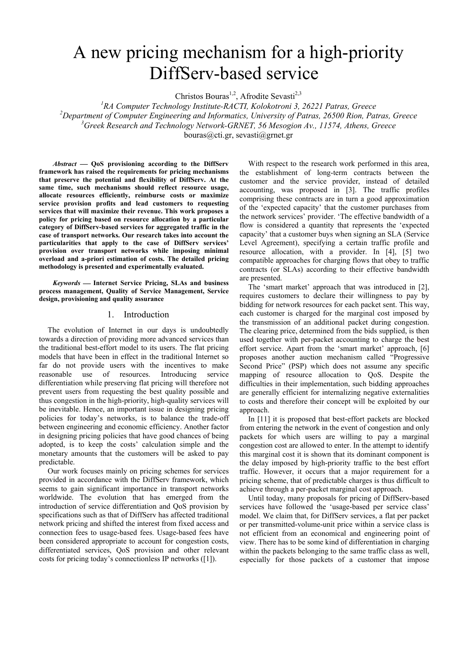# A new pricing mechanism for a high-priority DiffServ-based service

Christos Bouras<sup>1,2</sup>, Afrodite Sevasti<sup>2,3</sup>

<sup>1</sup>RA Computer Technology Institute-RACTI, Kolokotroni 3, 26221 Patras, Greece *2 Department of Computer Engineering and Informatics, University of Patras, 26500 Rion, Patras, Greece 3 Greek Research and Technology Network-GRNET, 56 Mesogion Av., 11574, Athens, Greece*  bouras@cti.gr, sevasti@grnet.gr

 *Abstract*  **QoS provisioning according to the DiffServ framework has raised the requirements for pricing mechanisms that preserve the potential and flexibility of DiffServ. At the same time, such mechanisms should reflect resource usage, allocate resources efficiently, reimburse costs or maximize service provision profits and lead customers to requesting services that will maximize their revenue. This work proposes a policy for pricing based on resource allocation by a particular category of DiffServ-based services for aggregated traffic in the case of transport networks. Our research takes into account the particularities that apply to the case of DiffServ services' provision over transport networks while imposing minimal overload and a-priori estimation of costs. The detailed pricing methodology is presented and experimentally evaluated.** 

 *Keywords*  **Internet Service Pricing, SLAs and business process management, Quality of Service Management, Service design, provisioning and quality assurance** 

# 1. Introduction

The evolution of Internet in our days is undoubtedly towards a direction of providing more advanced services than the traditional best-effort model to its users. The flat pricing models that have been in effect in the traditional Internet so far do not provide users with the incentives to make reasonable use of resources. Introducing service differentiation while preserving flat pricing will therefore not prevent users from requesting the best quality possible and thus congestion in the high-priority, high-quality services will be inevitable. Hence, an important issue in designing pricing policies for today's networks, is to balance the trade-off between engineering and economic efficiency. Another factor in designing pricing policies that have good chances of being adopted, is to keep the costs' calculation simple and the monetary amounts that the customers will be asked to pay predictable.

Our work focuses mainly on pricing schemes for services provided in accordance with the DiffServ framework, which seems to gain significant importance in transport networks worldwide. The evolution that has emerged from the introduction of service differentiation and QoS provision by specifications such as that of DiffServ has affected traditional network pricing and shifted the interest from fixed access and connection fees to usage-based fees. Usage-based fees have been considered appropriate to account for congestion costs, differentiated services, QoS provision and other relevant costs for pricing today's connectionless IP networks ([\[1\]\)](#page-5-0).

With respect to the research work performed in this area, the establishment of long-term contracts between the customer and the service provider, instead of detailed accounting, was proposed in [\[3\].](#page-5-1) The traffic profiles comprising these contracts are in turn a good approximation of the 'expected capacity' that the customer purchases from the network services' provider. 'The effective bandwidth of a flow is considered a quantity that represents the 'expected capacity' that a customer buys when signing an SLA (Service Level Agreement), specifying a certain traffic profile and resource allocation, with a provider. In [\[4\],](#page-5-2) [\[5\]](#page-5-3) two compatible approaches for charging flows that obey to traffic contracts (or SLAs) according to their effective bandwidth are presented.

The 'smart market' approach that was introduced in [\[2\],](#page-5-4) requires customers to declare their willingness to pay by bidding for network resources for each packet sent. This way, each customer is charged for the marginal cost imposed by the transmission of an additional packet during congestion. The clearing price, determined from the bids supplied, is then used together with per-packet accounting to charge the best effort service. Apart from the 'smart market' approach, [\[6\]](#page-5-5)  proposes another auction mechanism called "Progressive Second Price" (PSP) which does not assume any specific mapping of resource allocation to QoS. Despite the difficulties in their implementation, such bidding approaches are generally efficient for internalizing negative externalities to costs and therefore their concept will be exploited by our approach.

In [\[11\]](#page-5-6) it is proposed that best-effort packets are blocked from entering the network in the event of congestion and only packets for which users are willing to pay a marginal congestion cost are allowed to enter. In the attempt to identify this marginal cost it is shown that its dominant component is the delay imposed by high-priority traffic to the best effort traffic. However, it occurs that a major requirement for a pricing scheme, that of predictable charges is thus difficult to achieve through a per-packet marginal cost approach.

Until today, many proposals for pricing of DiffServ-based services have followed the 'usage-based per service class' model. We claim that, for DiffServ services, a flat per packet or per transmitted-volume-unit price within a service class is not efficient from an economical and engineering point of view. There has to be some kind of differentiation in charging within the packets belonging to the same traffic class as well, especially for those packets of a customer that impose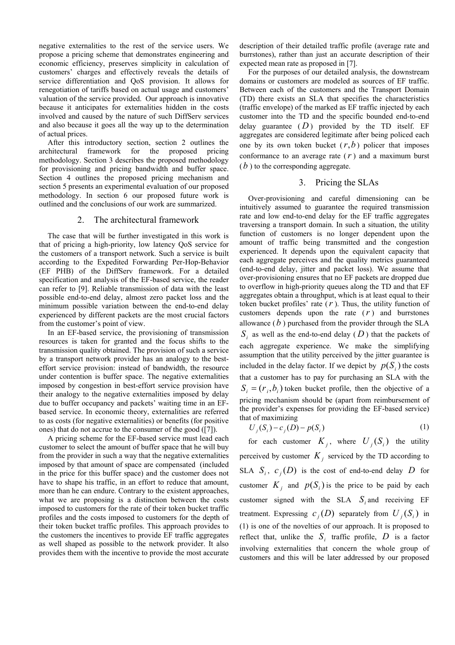negative externalities to the rest of the service users. We propose a pricing scheme that demonstrates engineering and economic efficiency, preserves simplicity in calculation of customers' charges and effectively reveals the details of service differentiation and QoS provision. It allows for renegotiation of tariffs based on actual usage and customers' valuation of the service provided. Our approach is innovative because it anticipates for externalities hidden in the costs involved and caused by the nature of such DiffServ services and also because it goes all the way up to the determination of actual prices.

After this introductory section, section 2 outlines the architectural framework for the proposed pricing methodology. Section 3 describes the proposed methodology for provisioning and pricing bandwidth and buffer space. Section 4 outlines the proposed pricing mechanism and section 5 presents an experimental evaluation of our proposed methodology. In section 6 our proposed future work is outlined and the conclusions of our work are summarized.

#### 2. The architectural framework

The case that will be further investigated in this work is that of pricing a high-priority, low latency QoS service for the customers of a transport network. Such a service is built according to the Expedited Forwarding Per-Hop-Behavior (EF PHB) of the DiffServ framework. For a detailed specification and analysis of the EF-based service, the reader can refer to [\[9\].](#page-5-7) Reliable transmission of data with the least possible end-to-end delay, almost zero packet loss and the minimum possible variation between the end-to-end delay experienced by different packets are the most crucial factors from the customer's point of view.

In an EF-based service, the provisioning of transmission resources is taken for granted and the focus shifts to the transmission quality obtained. The provision of such a service by a transport network provider has an analogy to the besteffort service provision: instead of bandwidth, the resource under contention is buffer space. The negative externalities imposed by congestion in best-effort service provision have their analogy to the negative externalities imposed by delay due to buffer occupancy and packets' waiting time in an EFbased service. In economic theory, externalities are referred to as costs (for negative externalities) or benefits (for positive ones) that do not accrue to the consumer of the good ([\[7\]\)](#page-5-8).

A pricing scheme for the EF-based service must lead each customer to select the amount of buffer space that he will buy from the provider in such a way that the negative externalities imposed by that amount of space are compensated (included in the price for this buffer space) and the customer does not have to shape his traffic, in an effort to reduce that amount, more than he can endure. Contrary to the existent approaches, what we are proposing is a distinction between the costs imposed to customers for the rate of their token bucket traffic profiles and the costs imposed to customers for the depth of their token bucket traffic profiles. This approach provides to the customers the incentives to provide EF traffic aggregates as well shaped as possible to the network provider. It also provides them with the incentive to provide the most accurate description of their detailed traffic profile (average rate and burrstones), rather than just an accurate description of their expected mean rate as proposed in [\[7\].](#page-5-8)

For the purposes of our detailed analysis, the downstream domains or customers are modeled as sources of EF traffic. Between each of the customers and the Transport Domain (TD) there exists an SLA that specifies the characteristics (traffic envelope) of the marked as EF traffic injected by each customer into the TD and the specific bounded end-to-end delay guarantee  $(D)$  provided by the TD itself. EF aggregates are considered legitimate after being policed each one by its own token bucket  $(r, b)$  policer that imposes conformance to an average rate  $(r)$  and a maximum burst  $(b)$  to the corresponding aggregate.

#### <span id="page-1-0"></span>3. Pricing the SLAs

Over-provisioning and careful dimensioning can be intuitively assumed to guarantee the required transmission rate and low end-to-end delay for the EF traffic aggregates traversing a transport domain. In such a situation, the utility function of customers is no longer dependent upon the amount of traffic being transmitted and the congestion experienced. It depends upon the equivalent capacity that each aggregate perceives and the quality metrics guaranteed (end-to-end delay, jitter and packet loss). We assume that over-provisioning ensures that no EF packets are dropped due to overflow in high-priority queues along the TD and that EF aggregates obtain a throughput, which is at least equal to their token bucket profiles' rate (*r* ). Thus, the utility function of customers depends upon the rate  $(r)$  and burrstones allowance  $(b)$  purchased from the provider through the SLA  $S_i$  as well as the end-to-end delay ( $D$ ) that the packets of each aggregate experience. We make the simplifying assumption that the utility perceived by the jitter guarantee is included in the delay factor. If we depict by  $p(S_i)$  the costs that a customer has to pay for purchasing an SLA with the  $S_i = (r_i, b_i)$  token bucket profile, then the objective of a pricing mechanism should be (apart from reimbursement of the provider's expenses for providing the EF-based service) that of maximizing

$$
U_j(S_i) - c_j(D) - p(S_i)
$$
 (1)

for each customer  $K_j$ , where  $U_j(S_i)$  the utility perceived by customer  $K_j$  serviced by the TD according to SLA  $S_i$ ,  $c_j(D)$  is the cost of end-to-end delay D for customer  $K_j$  and  $p(S_i)$  is the price to be paid by each customer signed with the SLA  $S_i$  and receiving EF treatment. Expressing  $c_j(D)$  separately from  $U_j(S_i)$  in (1) is one of the novelties of our approach. It is proposed to reflect that, unlike the  $S_i$  traffic profile, D is a factor involving externalities that concern the whole group of customers and this will be later addressed by our proposed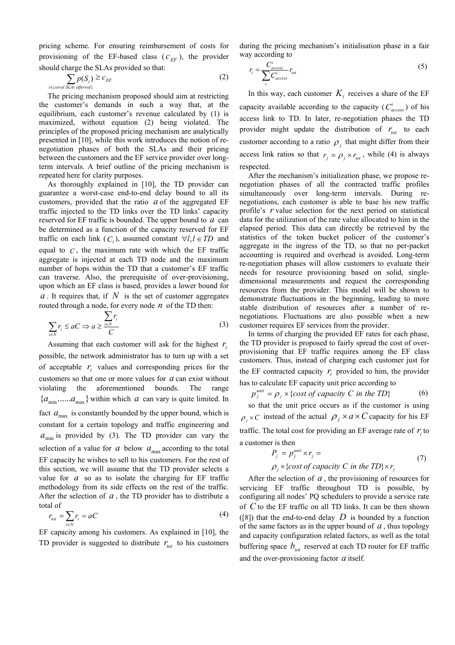pricing scheme. For ensuring reimbursement of costs for provisioning of the EF-based class  $(c_{EF})$ , the provider should charge the SLAs provided so that:

$$
\sum_{i \in \{set of SLAs\ of\}}
$$
  $p(S_i) \ge c_{EF}$  (2)

The pricing mechanism proposed should aim at restricting the customer's demands in such a way that, at the equilibrium, each customer's revenue calculated by (1) is maximized, without equation (2) being violated. The principles of the proposed pricing mechanism are analytically presented in [\[10\],](#page-5-9) while this work introduces the notion of renegotiation phases of both the SLAs and their pricing between the customers and the EF service provider over longterm intervals. A brief outline of the pricing mechanism is repeated here for clarity purposes.

As thoroughly explained in [\[10\],](#page-5-9) the TD provider can guarantee a worst-case end-to-end delay bound to all its customers, provided that the ratio  $a$  of the aggregated EF traffic injected to the TD links over the TD links' capacity reserved for EF traffic is bounded. The upper bound to  $a$  can be determined as a function of the capacity reserved for EF traffic on each link  $(C_i)$ , assumed constant  $\forall l, l \in TD$  and equal to  $C$ , the maximum rate with which the EF traffic aggregate is injected at each TD node and the maximum number of hops within the TD that a customer's EF traffic can traverse. Also, the prerequisite of over-provisioning, upon which an EF class is based, provides a lower bound for  $a$ . It requires that, if  $N$  is the set of customer aggregates routed through a node, for every node  $n$  of the TD then:

$$
\sum_{i \in N} r_i \le aC \Rightarrow a \ge \frac{\sum_{i \in N} r_i}{C} \tag{3}
$$

customers so that one or more values for  $a$  can exist without Assuming that each customer will ask for the highest  $r_i$ possible, the network administrator has to turn up with a set of acceptable  $r_i$  values and corresponding prices for the violating the aforementioned bounds. The range  $\{a_{\min}, \ldots, a_{\max}\}\$  within which a can vary is quite limited. In fact  $a_{\text{max}}$  is constantly bounded by the upper bound, which is constant for a certain topology and traffic engineering and  $a_{\text{min}}$  is provided by (3). The TD provider can vary the selection of a value for  $a$  below  $a_{\text{max}}$  according to the total EF capacity he wishes to sell to his customers. For the rest of this section, we will assume that the TD provider selects a value for  $a$  so as to isolate the charging for  $EF$  traffic methodology from its side effects on the rest of the traffic. After the selection of *a* , the TD provider has to distribute a total of

$$
r_{tot} = \sum_{i \in N} r_i = aC \tag{4}
$$

TD provider is suggested to distribute  $r_{tot}$  to his customers EF capacity among his customers. As explained in [\[10\],](#page-5-9) the

during the pricing mechanism's initialisation phase in a fair way according to

$$
r_i = \frac{C_{access}}{\sum_{i} C_{access}} r_{tot}
$$
 (5)

In this way, each customer  $K_i$  receives a share of the EF capacity available according to the capacity ( $C_{access}^i$ ) of his access link to TD. In later, re-negotiation phases the TD provider might update the distribution of  $r_{tot}$  to each customer according to a ratio  $\rho_i$  that might differ from their access link ratios so that  $r_i = \rho_i \times r_{tot}$ , while (4) is always respected.

After the mechanism's initialization phase, we propose renegotiation phases of all the contracted traffic profiles simultaneously over long-term intervals. During renegotiations, each customer is able to base his new traffic profile's *r* value selection for the next period on statistical data for the utilization of the rate value allocated to him in the elapsed period. This data can directly be retrieved by the statistics of the token bucket policer of the customer's aggregate in the ingress of the TD, so that no per-packet accounting is required and overhead is avoided. Long-term re-negotiation phases will allow customers to evaluate their needs for resource provisioning based on solid, singledimensional measurements and request the corresponding resources from the provider. This model will be shown to demonstrate fluctuations in the beginning, leading to more stable distribution of resources after a number of renegotiations. Fluctuations are also possible when a new customer requires EF services from the provider.

In terms of charging the provided EF rates for each phase, the TD provider is proposed to fairly spread the cost of overprovisioning that EF traffic requires among the EF class customers. Thus, instead of charging each customer just for the EF contracted capacity  $r_i$  provided to him, the provider has to calculate EF capacity unit price according to

$$
p_j^{\text{unit}} = \rho_j \times \{ \text{cost of capacity } C \text{ in the TD} \} \tag{6}
$$

so that the unit price occurs as if the customer is using  $\rho_i \times C$  instead of the actual  $\rho_i \times a \times C$  capacity for his EF traffic. The total cost for providing an EF average rate of  $r_i$  to a customer is then

$$
P_j = p_j^{\text{unit}} \times r_j =
$$
  
\n
$$
\rho_j \times \{ \text{cost of capacity } C \text{ in the TD} \} \times r_j
$$
 (7)

After the selection of  $a$ , the provisioning of resources for servicing EF traffic throughout TD is possible, by configuring all nodes' PQ schedulers to provide a service rate of  $C$  to the EF traffic on all TD links. It can be then shown ([\[8\]\)](#page-5-10) that the end-to-end delay  $D$  is bounded by a function of the same factors as in the upper bound of  $a$ , thus topology and capacity configuration related factors, as well as the total buffering space  $b_{tot}$  reserved at each TD router for EF traffic and the over-provisioning factor  $a$  itself.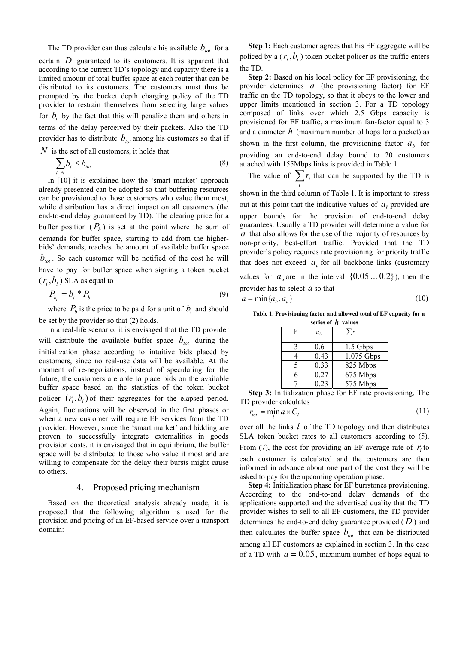The TD provider can thus calculate his available  $b_{\text{tot}}$  for a certain  $D$  guaranteed to its customers. It is apparent that according to the current TD's topology and capacity there is a limited amount of total buffer space at each router that can be distributed to its customers. The customers must thus be prompted by the bucket depth charging policy of the TD provider to restrain themselves from selecting large values for  $b_i$  by the fact that this will penalize them and others in terms of the delay perceived by their packets. Also the TD provider has to distribute  $b_{\text{tot}}$  among his customers so that if

 $N$  is the set of all customers, it holds that

$$
\sum_{i \in N} b_i \le b_{tot} \tag{8}
$$

In [\[10\]](#page-5-9) it is explained how the 'smart market' approach already presented can be adopted so that buffering resources can be provisioned to those customers who value them most, while distribution has a direct impact on all customers (the end-to-end delay guaranteed by TD). The clearing price for a buffer position  $(P_b)$  is set at the point where the sum of demands for buffer space, starting to add from the higherbids' demands, reaches the amount of available buffer space  $b_{tot}$ . So each customer will be notified of the cost he will have to pay for buffer space when signing a token bucket  $(r_i, b_i)$  SLA as equal to

$$
P_{b_i} = b_i \cdot P_b \tag{9}
$$

where  $P_b$  is the price to be paid for a unit of  $b_i$  and should be set by the provider so that (2) holds.

In a real-life scenario, it is envisaged that the TD provider will distribute the available buffer space  $b_{tot}$  during the initialization phase according to intuitive bids placed by customers, since no real-use data will be available. At the moment of re-negotiations, instead of speculating for the future, the customers are able to place bids on the available buffer space based on the statistics of the token bucket policer  $(r_i, b_i)$  of their aggregates for the elapsed period. Again, fluctuations will be observed in the first phases or when a new customer will require EF services from the TD provider. However, since the 'smart market' and bidding are proven to successfully integrate externalities in goods provision costs, it is envisaged that in equilibrium, the buffer space will be distributed to those who value it most and are willing to compensate for the delay their bursts might cause to others.

# 4. Proposed pricing mechanism

Based on the theoretical analysis already made, it is proposed that the following algorithm is used for the provision and pricing of an EF-based service over a transport domain:

**Step 1:** Each customer agrees that his EF aggregate will be policed by a  $(r_i, b_i)$  token bucket policer as the traffic enters the TD.

**Step 2:** Based on his local policy for EF provisioning, the provider determines  $a$  (the provisioning factor) for EF traffic on the TD topology, so that it obeys to the lower and upper limits mentioned in section [3.](#page-1-0) For a TD topology composed of links over which 2.5 Gbps capacity is provisioned for EF traffic, a maximum fan-factor equal to 3 and a diameter  $h$  (maximum number of hops for a packet) as shown in the first column, the provisioning factor  $a<sub>b</sub>$  for providing an end-to-end delay bound to 20 customers attached with 155Mbps links is provided in [Table 1.](#page-3-0) 

The value of  $\sum_i$  $r_i$  that can be supported by the TD is

shown in the third column of [Table 1.](#page-3-0) It is important to stress out at this point that the indicative values of  $a<sub>b</sub>$  provided are upper bounds for the provision of end-to-end delay guarantees. Usually a TD provider will determine a value for  $\alpha$  that also allows for the use of the majority of resources by non-priority, best-effort traffic. Provided that the TD provider's policy requires rate provisioning for priority traffic that does not exceed  $a<sub>u</sub>$  for all backbone links (customary

values for  $a<sub>u</sub>$  are in the interval  $\{0.05...0.2\}$ ), then the provider has to select *a* so that

$$
a = \min\{a_b, a_u\} \tag{10}
$$

<span id="page-3-0"></span>**Table 1. Provisioning factor and allowed total of EF capacity for a series of** *h* **values**

| h | a <sub>b</sub> | $\sum_{i} r_i$ |
|---|----------------|----------------|
|   | 0.6            | 1.5 Gbps       |
|   | 0.43           | 1.075 Gbps     |
|   | 0.33           | 825 Mbps       |
|   | 0.27           | 675 Mbps       |
|   | 0.23           | 575 Mbps       |

**Step 3:** Initialization phase for EF rate provisioning. The TD provider calculates

$$
r_{tot} = \min_{l} a \times C_l \tag{11}
$$

over all the links  $l$  of the TD topology and then distributes SLA token bucket rates to all customers according to (5). From (7), the cost for providing an EF average rate of  $r_i$  to each customer is calculated and the customers are then informed in advance about one part of the cost they will be asked to pay for the upcoming operation phase.

**Step 4:** Initialization phase for EF burrstones provisioning. According to the end-to-end delay demands of the applications supported and the advertised quality that the TD provider wishes to sell to all EF customers, the TD provider determines the end-to-end delay guarantee provided  $(D)$  and then calculates the buffer space  $b_{tot}$  that can be distributed among all EF customers as explained in section [3.](#page-1-0) In the case of a TD with  $a = 0.05$ , maximum number of hops equal to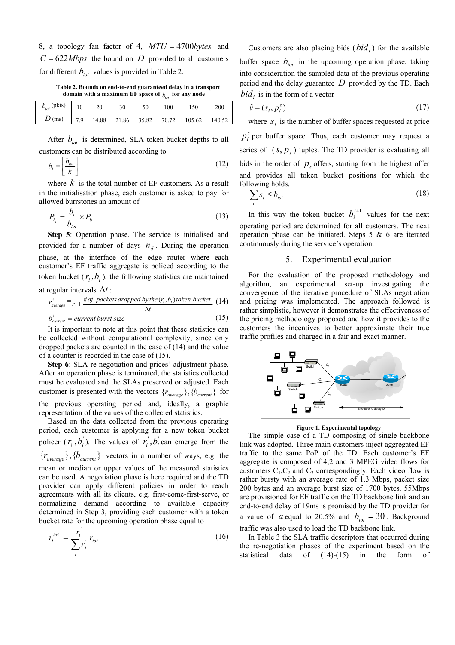8, a topology fan factor of 4,  $MTU = 4700$ bytes and  $C = 622Mbps$  the bound on D provided to all customers for different  $b_{tot}$  values is provided in [Table 2.](#page-4-0)

<span id="page-4-0"></span>domain with a maximum EF space of  $b_{\text{tot}}$  for any node **Table 2. Bounds on end-to-end guaranteed delay in a transport** 

| $b_{\text{tot}}$ (pkts) |     |                           | 30 | 50 | 100 | 150    | 200    |
|-------------------------|-----|---------------------------|----|----|-----|--------|--------|
| $D$ (ms)                | 7 Q | $14.88$ 21.86 35.82 70.72 |    |    |     | 105.62 | 140.52 |

After  $b_{\text{tot}}$  is determined, SLA token bucket depths to all customers can be distributed according to

$$
b_i = \left\lfloor \frac{b_{\text{tot}}}{k} \right\rfloor \tag{12}
$$

where  $k$  is the total number of EF customers. As a result in the initialisation phase, each customer is asked to pay for allowed burrstones an amount of

$$
P_{b_i} = \frac{b_i}{b_{tot}} \times P_b \tag{13}
$$

**Step 5**: Operation phase. The service is initialised and provided for a number of days  $n_d$ . During the operation phase, at the interface of the edge router where each customer's EF traffic aggregate is policed according to the token bucket  $(r_i, b_i)$ , the following statistics are maintained

at regular intervals 
$$
\Delta t
$$
:

$$
r_{average}^{i} = r_{i} + \frac{\# of \ packets \ dropped \ by \ the \ (r_{i}, b_{i}) \ token \ bucket}{\Delta t} \tag{14}
$$
\n
$$
b_{current}^{i} = current \ burst \ size \tag{15}
$$

It is important to note at this point that these statistics can be collected without computational complexity, since only dropped packets are counted in the case of (14) and the value of a counter is recorded in the case of (15).

**Step 6**: SLA re-negotiation and prices' adjustment phase. After an operation phase is terminated, the statistics collected must be evaluated and the SLAs preserved or adjusted. Each customer is presented with the vectors  $\{r_{average}\}, \{b_{current}\}\$ for the previous operating period and, ideally, a graphic representation of the values of the collected statistics.

Based on the data collected from the previous operating period, each customer is applying for a new token bucket policer  $(r_i, b_i)$ . The values of  $r_i, b_i$  can emerge from the  ${r_{average}}$ ,  ${b_{current}}$  vectors in a number of ways, e.g. the mean or median or upper values of the measured statistics can be used. A negotiation phase is here required and the TD provider can apply different policies in order to reach agreements with all its clients, e.g. first-come-first-serve, or normalizing demand according to available capacity determined in Step 3, providing each customer with a token bucket rate for the upcoming operation phase equal to

$$
r_i^{t+1} = \frac{r_i}{\sum_j r_j} r_{tot} \tag{16}
$$

Customers are also placing bids  $(bid<sub>i</sub>)$  for the available buffer space  $b_{tot}$  in the upcoming operation phase, taking into consideration the sampled data of the previous operating period and the delay guarantee  $\overline{D}$  provided by the TD. Each  $bid<sub>i</sub>$  is in the form of a vector

$$
\hat{\mathbf{v}} = (s_i, p_i^s) \tag{17}
$$

where  $s_i$  is the number of buffer spaces requested at price  $p_i^s$  per buffer space. Thus, each customer may request a series of  $(s, p_s)$  tuples. The TD provider is evaluating all bids in the order of  $p_s$  offers, starting from the highest offer and provides all token bucket positions for which the

following holds.  
\n
$$
\sum_{i} s_i \le b_{tot}
$$
\n(18)

In this way the token bucket  $b_i^{t+1}$  values for the next operating period are determined for all customers. The next operation phase can be initiated. Steps  $5 \& 6$  are iterated continuously during the service's operation.

#### 5. Experimental evaluation

For the evaluation of the proposed methodology and algorithm, an experimental set-up investigating the convergence of the iterative procedure of SLAs negotiation and pricing was implemented. The approach followed is rather simplistic, however it demonstrates the effectiveness of the pricing methodology proposed and how it provides to the customers the incentives to better approximate their true traffic profiles and charged in a fair and exact manner.



**Figure 1. Experimental topology** 

The simple case of a TD composing of single backbone link was adopted. Three main customers inject aggregated EF traffic to the same PoP of the TD. Each customer's EF aggregate is composed of 4,2 and 3 MPEG video flows for customers  $C_1$ ,  $C_2$  and  $C_3$  correspondingly. Each video flow is rather bursty with an average rate of 1.3 Mbps, packet size 200 bytes and an average burst size of 1700 bytes. 55Mbps are provisioned for EF traffic on the TD backbone link and an end-to-end delay of 19ms is promised by the TD provider for a value of *a* equal to 20.5% and  $b_{\text{tot}} = 30$ . Background traffic was also used to load the TD backbone link.

In [Table 3](#page-5-11) the SLA traffic descriptors that occurred during the re-negotiation phases of the experiment based on the statistical data of (14)-(15) in the form of